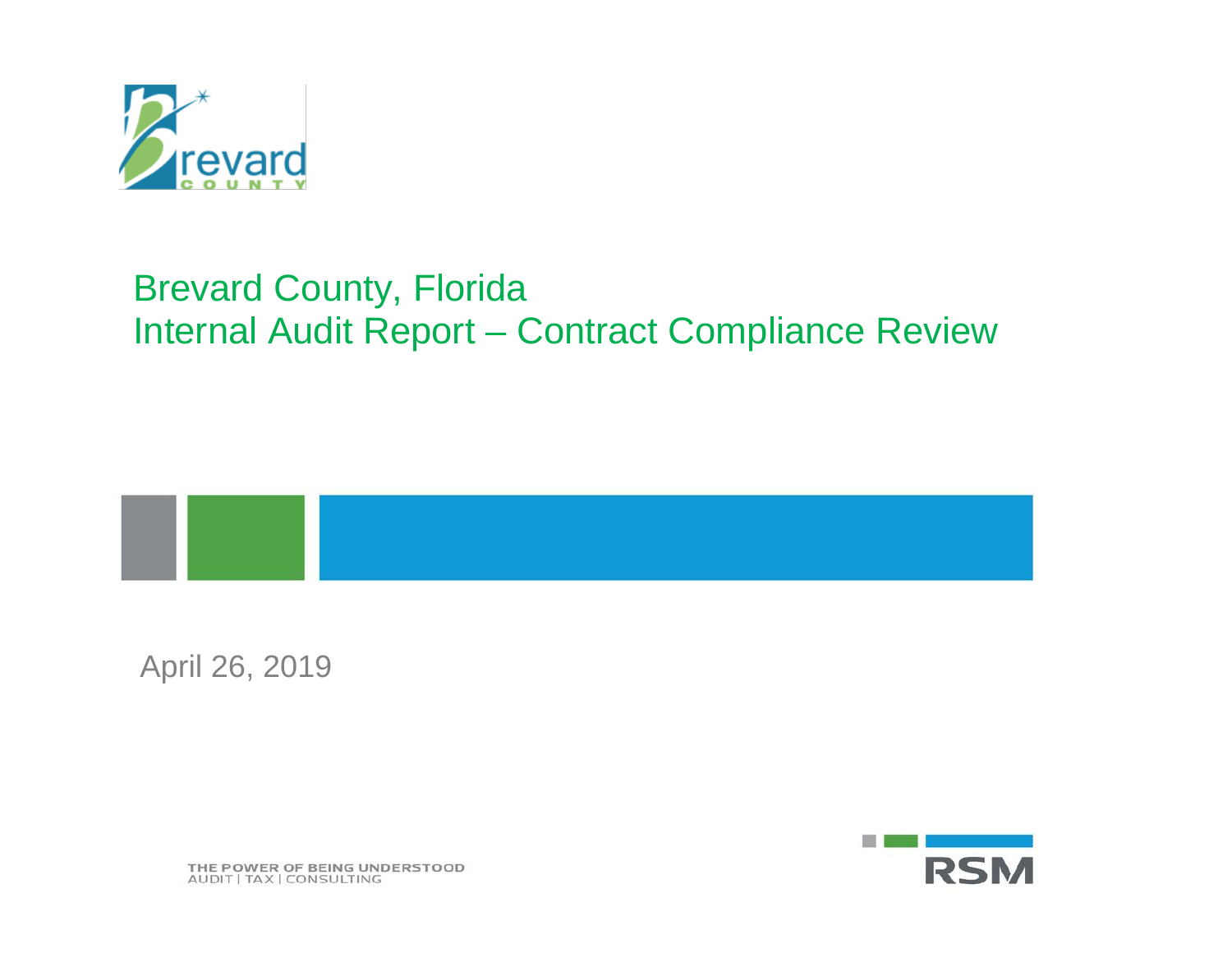

# Brevard County, Florida Internal Audit Report – Contract Compliance Review



April 26, 2019



THE POWER OF BEING UNDERSTOOD AUDIT | TAX | CONSULTING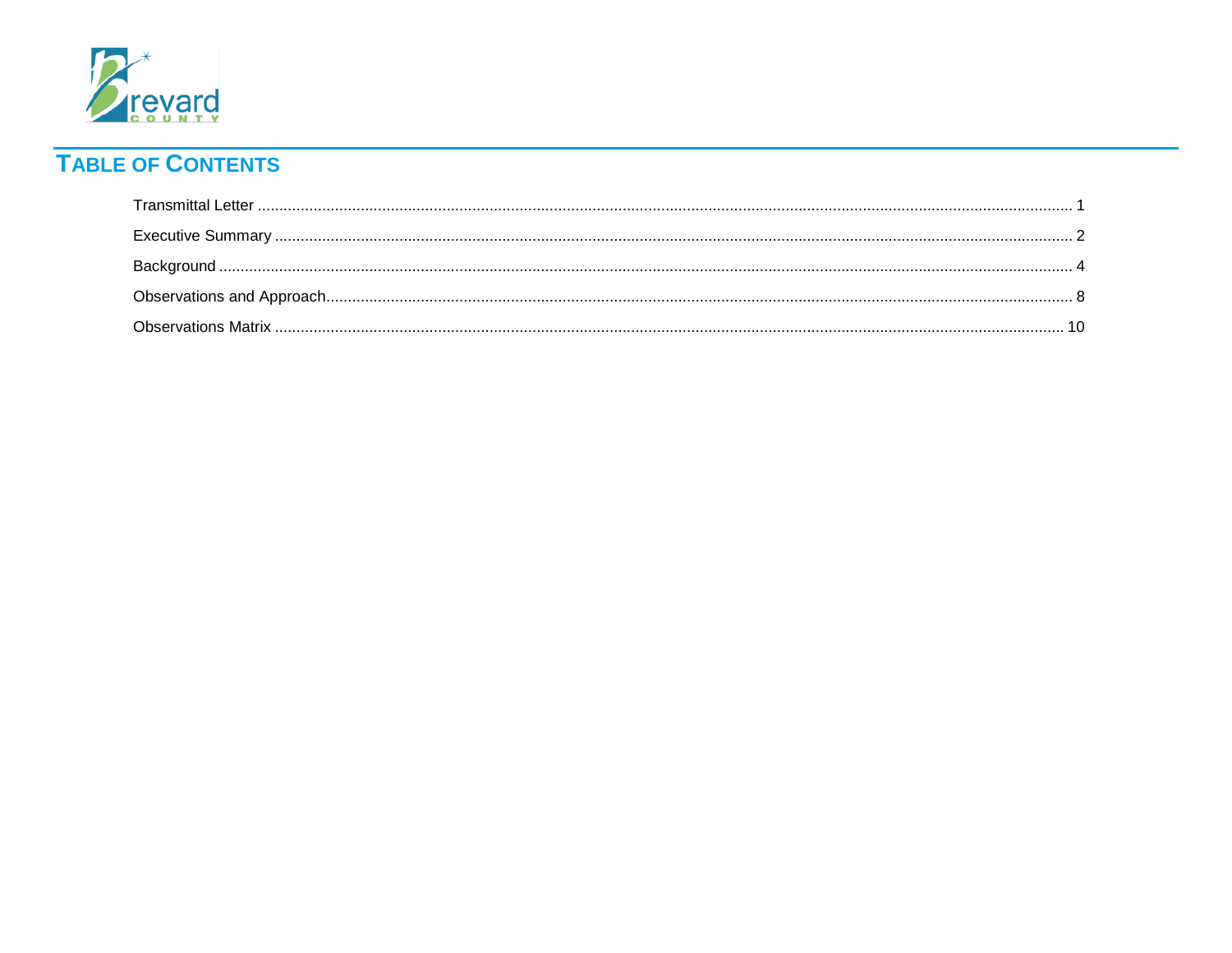

# **TABLE OF CONTENTS**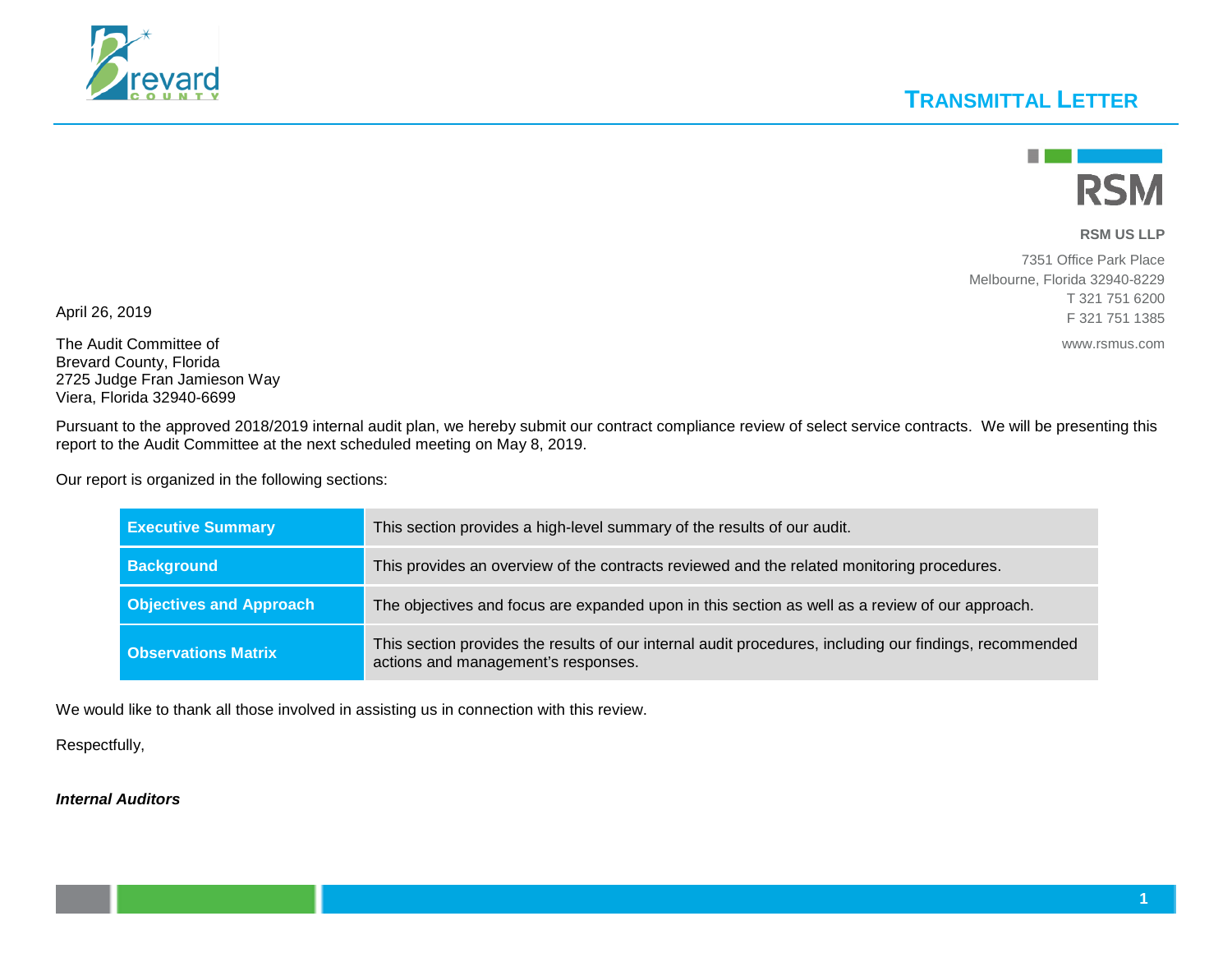### **TRANSMITTAL LETTER**



#### **RSM US LLP**

7351 Office Park Place Melbourne, Florida 32940-8229 T 321 751 6200 F 321 751 1385

www.rsmus.com

The Audit Committee of Brevard County, Florida 2725 Judge Fran Jamieson Way Viera, Florida 32940-6699

April 26, 2019

Pursuant to the approved 2018/2019 internal audit plan, we hereby submit our contract compliance review of select service contracts. We will be presenting this report to the Audit Committee at the next scheduled meeting on May 8, 2019.

Our report is organized in the following sections:

| <b>Executive Summary</b>       | This section provides a high-level summary of the results of our audit.                                                                        |
|--------------------------------|------------------------------------------------------------------------------------------------------------------------------------------------|
| <b>Background</b>              | This provides an overview of the contracts reviewed and the related monitoring procedures.                                                     |
| <b>Objectives and Approach</b> | The objectives and focus are expanded upon in this section as well as a review of our approach.                                                |
| <b>Observations Matrix</b>     | This section provides the results of our internal audit procedures, including our findings, recommended<br>actions and management's responses. |

We would like to thank all those involved in assisting us in connection with this review.

Respectfully,

#### *Internal Auditors*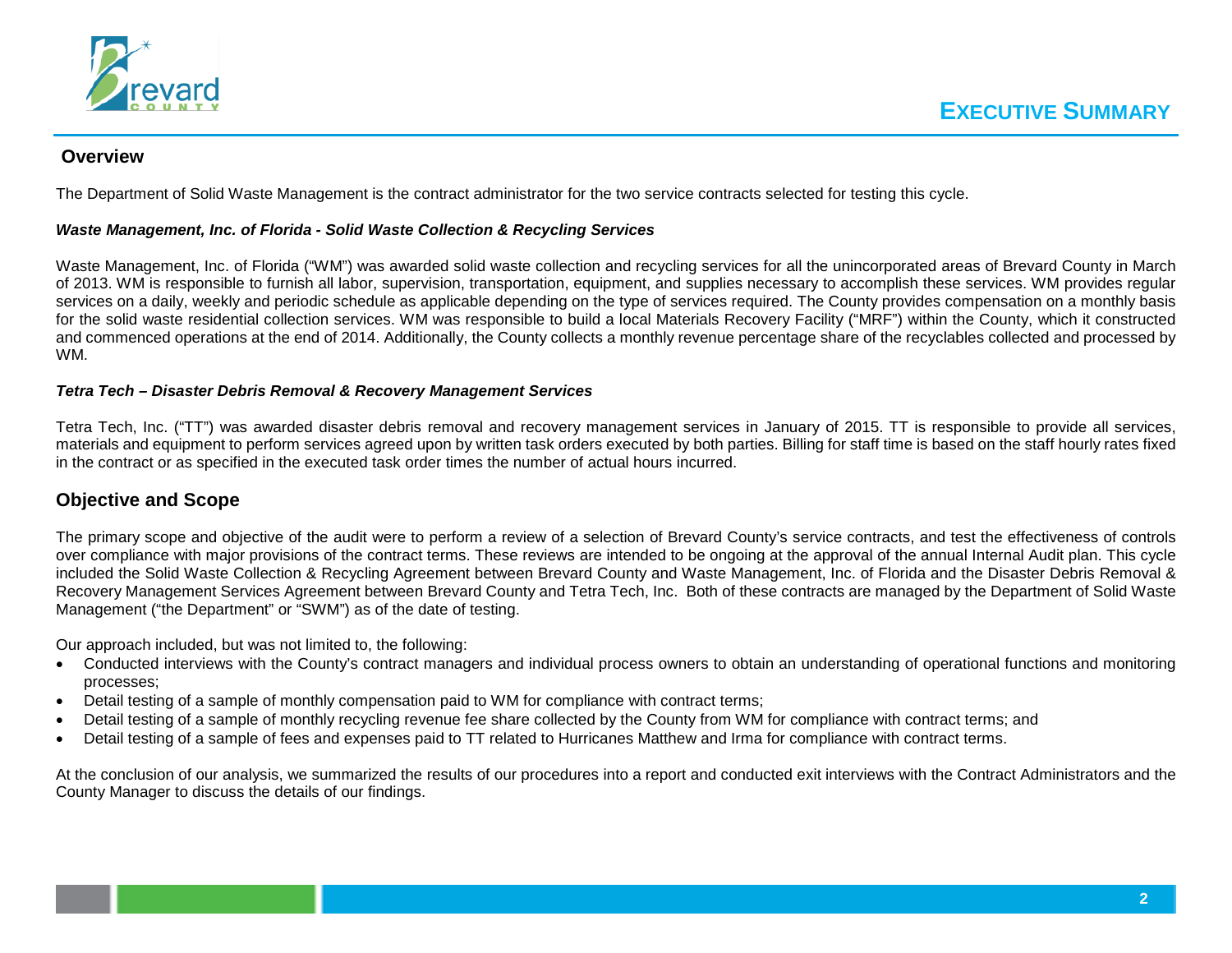

#### **Overview**

The Department of Solid Waste Management is the contract administrator for the two service contracts selected for testing this cycle.

#### *Waste Management, Inc. of Florida - Solid Waste Collection & Recycling Services*

Waste Management, Inc. of Florida ("WM") was awarded solid waste collection and recycling services for all the unincorporated areas of Brevard County in March of 2013. WM is responsible to furnish all labor, supervision, transportation, equipment, and supplies necessary to accomplish these services. WM provides regular services on a daily, weekly and periodic schedule as applicable depending on the type of services required. The County provides compensation on a monthly basis for the solid waste residential collection services. WM was responsible to build a local Materials Recovery Facility ("MRF") within the County, which it constructed and commenced operations at the end of 2014. Additionally, the County collects a monthly revenue percentage share of the recyclables collected and processed by WM.

#### *Tetra Tech – Disaster Debris Removal & Recovery Management Services*

Tetra Tech, Inc. ("TT") was awarded disaster debris removal and recovery management services in January of 2015. TT is responsible to provide all services, materials and equipment to perform services agreed upon by written task orders executed by both parties. Billing for staff time is based on the staff hourly rates fixed in the contract or as specified in the executed task order times the number of actual hours incurred.

#### **Objective and Scope**

The primary scope and objective of the audit were to perform a review of a selection of Brevard County's service contracts, and test the effectiveness of controls over compliance with major provisions of the contract terms. These reviews are intended to be ongoing at the approval of the annual Internal Audit plan. This cycle included the Solid Waste Collection & Recycling Agreement between Brevard County and Waste Management, Inc. of Florida and the Disaster Debris Removal & Recovery Management Services Agreement between Brevard County and Tetra Tech, Inc. Both of these contracts are managed by the Department of Solid Waste Management ("the Department" or "SWM") as of the date of testing.

Our approach included, but was not limited to, the following:

- Conducted interviews with the County's contract managers and individual process owners to obtain an understanding of operational functions and monitoring processes;
- Detail testing of a sample of monthly compensation paid to WM for compliance with contract terms;
- Detail testing of a sample of monthly recycling revenue fee share collected by the County from WM for compliance with contract terms; and
- Detail testing of a sample of fees and expenses paid to TT related to Hurricanes Matthew and Irma for compliance with contract terms.

At the conclusion of our analysis, we summarized the results of our procedures into a report and conducted exit interviews with the Contract Administrators and the County Manager to discuss the details of our findings.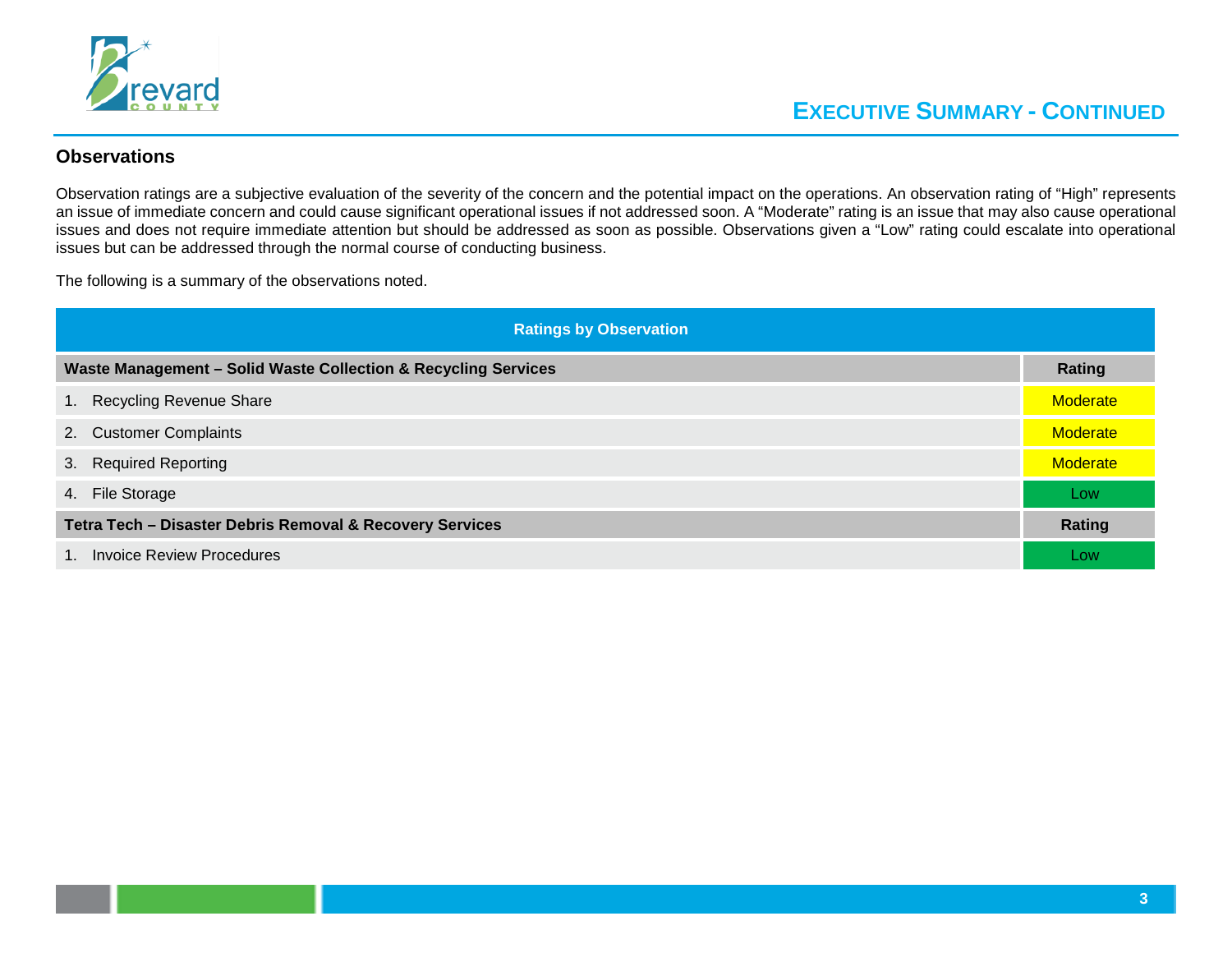

#### **Observations**

Observation ratings are a subjective evaluation of the severity of the concern and the potential impact on the operations. An observation rating of "High" represents an issue of immediate concern and could cause significant operational issues if not addressed soon. A "Moderate" rating is an issue that may also cause operational issues and does not require immediate attention but should be addressed as soon as possible. Observations given a "Low" rating could escalate into operational issues but can be addressed through the normal course of conducting business.

The following is a summary of the observations noted.

|                                                                           | <b>Ratings by Observation</b>                                  |                 |  |
|---------------------------------------------------------------------------|----------------------------------------------------------------|-----------------|--|
|                                                                           | Waste Management - Solid Waste Collection & Recycling Services | <b>Rating</b>   |  |
| 1.                                                                        | <b>Recycling Revenue Share</b>                                 | <b>Moderate</b> |  |
|                                                                           | 2. Customer Complaints                                         | <b>Moderate</b> |  |
|                                                                           | 3. Required Reporting                                          | <b>Moderate</b> |  |
|                                                                           | 4. File Storage                                                | <b>LOW</b>      |  |
| Tetra Tech - Disaster Debris Removal & Recovery Services<br><b>Rating</b> |                                                                |                 |  |
|                                                                           | 1. Invoice Review Procedures                                   | Low             |  |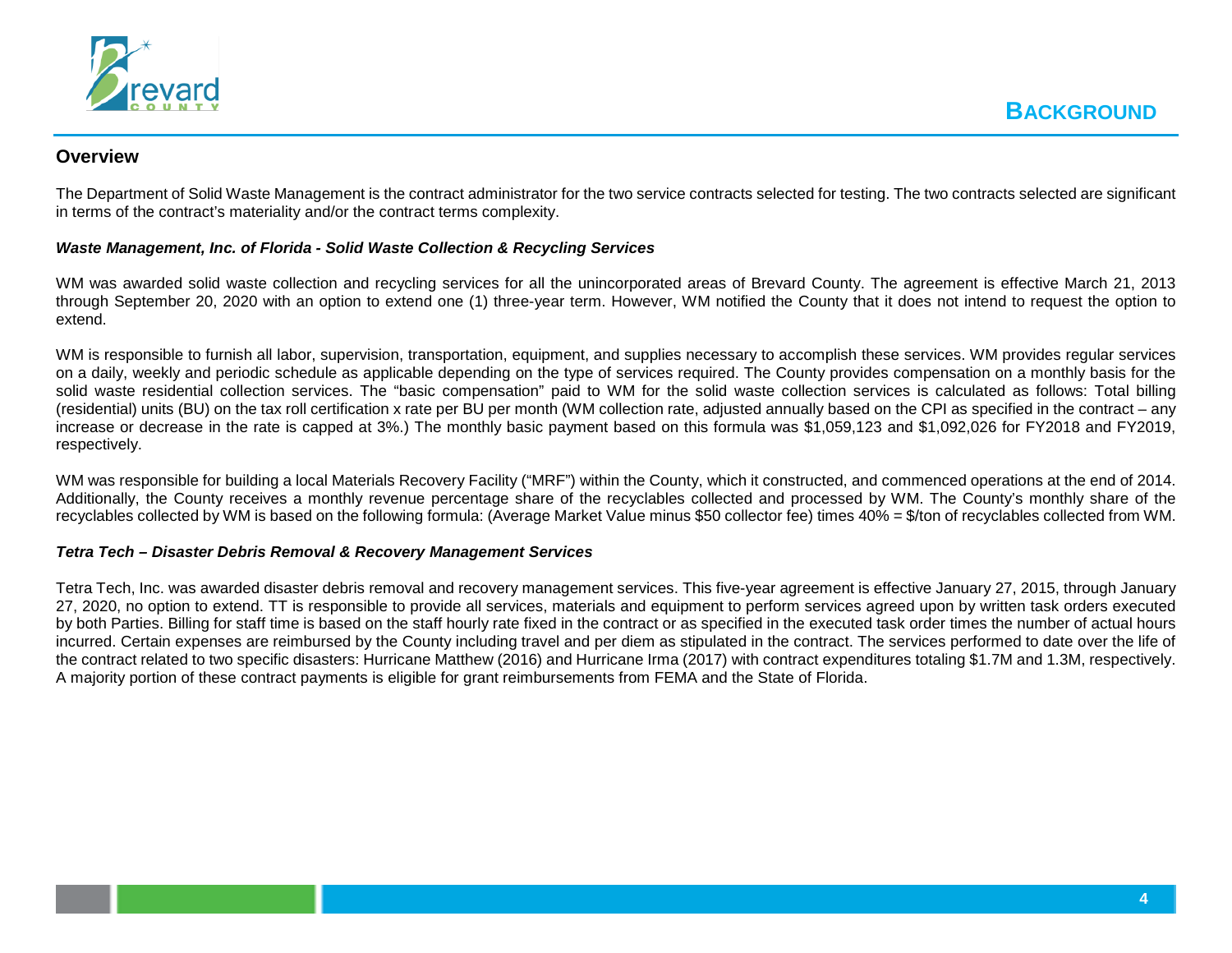

#### **Overview**

The Department of Solid Waste Management is the contract administrator for the two service contracts selected for testing. The two contracts selected are significant in terms of the contract's materiality and/or the contract terms complexity.

#### *Waste Management, Inc. of Florida - Solid Waste Collection & Recycling Services*

WM was awarded solid waste collection and recycling services for all the unincorporated areas of Brevard County. The agreement is effective March 21, 2013 through September 20, 2020 with an option to extend one (1) three-year term. However, WM notified the County that it does not intend to request the option to extend.

WM is responsible to furnish all labor, supervision, transportation, equipment, and supplies necessary to accomplish these services. WM provides regular services on a daily, weekly and periodic schedule as applicable depending on the type of services required. The County provides compensation on a monthly basis for the solid waste residential collection services. The "basic compensation" paid to WM for the solid waste collection services is calculated as follows: Total billing (residential) units (BU) on the tax roll certification x rate per BU per month (WM collection rate, adjusted annually based on the CPI as specified in the contract – any increase or decrease in the rate is capped at 3%.) The monthly basic payment based on this formula was \$1,059,123 and \$1,092,026 for FY2018 and FY2019, respectively.

WM was responsible for building a local Materials Recovery Facility ("MRF") within the County, which it constructed, and commenced operations at the end of 2014. Additionally, the County receives a monthly revenue percentage share of the recyclables collected and processed by WM. The County's monthly share of the recyclables collected by WM is based on the following formula: (Average Market Value minus \$50 collector fee) times 40% = \$/ton of recyclables collected from WM.

#### *Tetra Tech – Disaster Debris Removal & Recovery Management Services*

Tetra Tech, Inc. was awarded disaster debris removal and recovery management services. This five-year agreement is effective January 27, 2015, through January 27, 2020, no option to extend. TT is responsible to provide all services, materials and equipment to perform services agreed upon by written task orders executed by both Parties. Billing for staff time is based on the staff hourly rate fixed in the contract or as specified in the executed task order times the number of actual hours incurred. Certain expenses are reimbursed by the County including travel and per diem as stipulated in the contract. The services performed to date over the life of the contract related to two specific disasters: Hurricane Matthew (2016) and Hurricane Irma (2017) with contract expenditures totaling \$1.7M and 1.3M, respectively. A majority portion of these contract payments is eligible for grant reimbursements from FEMA and the State of Florida.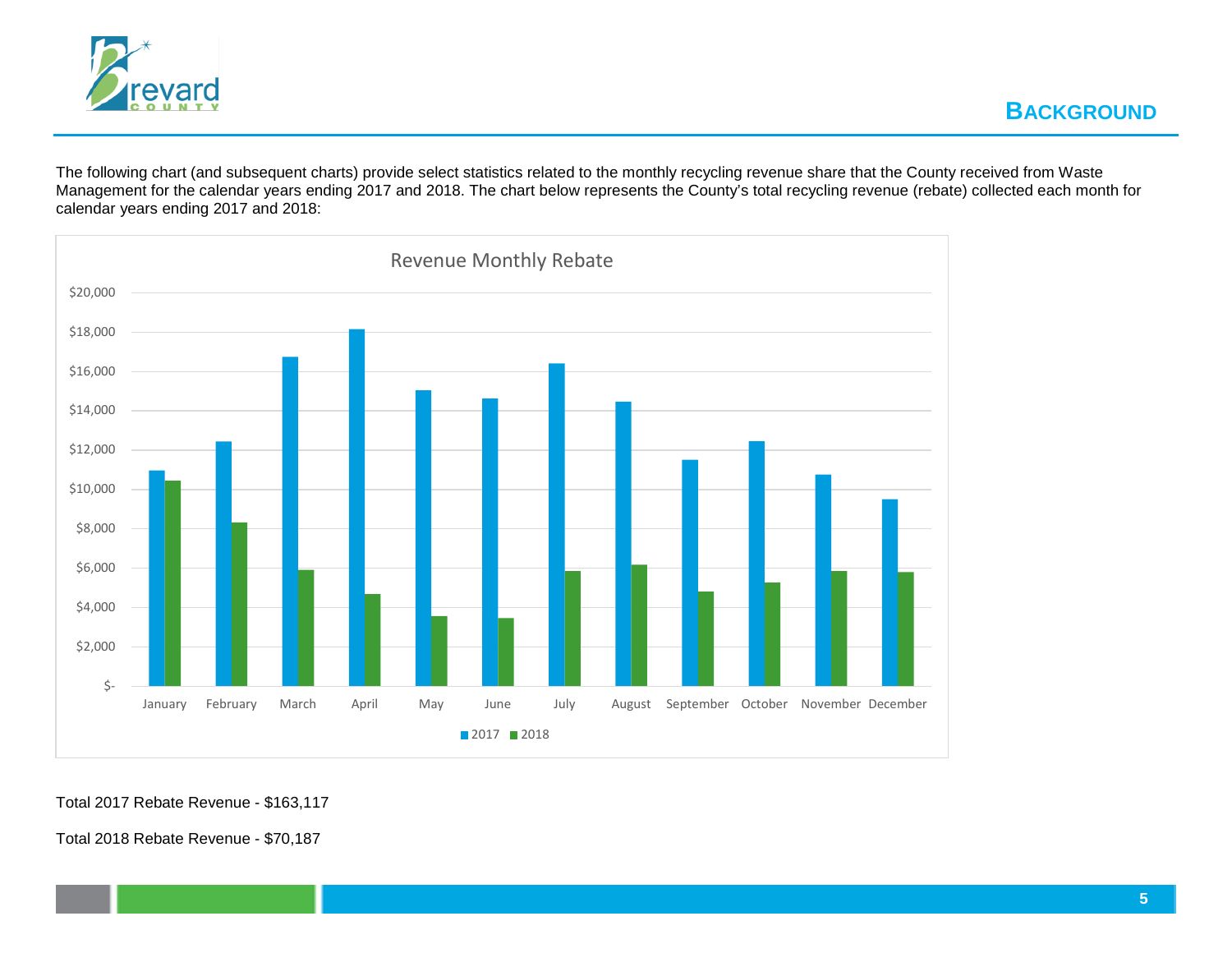

The following chart (and subsequent charts) provide select statistics related to the monthly recycling revenue share that the County received from Waste Management for the calendar years ending 2017 and 2018. The chart below represents the County's total recycling revenue (rebate) collected each month for calendar years ending 2017 and 2018:



Total 2018 Rebate Revenue - \$70,187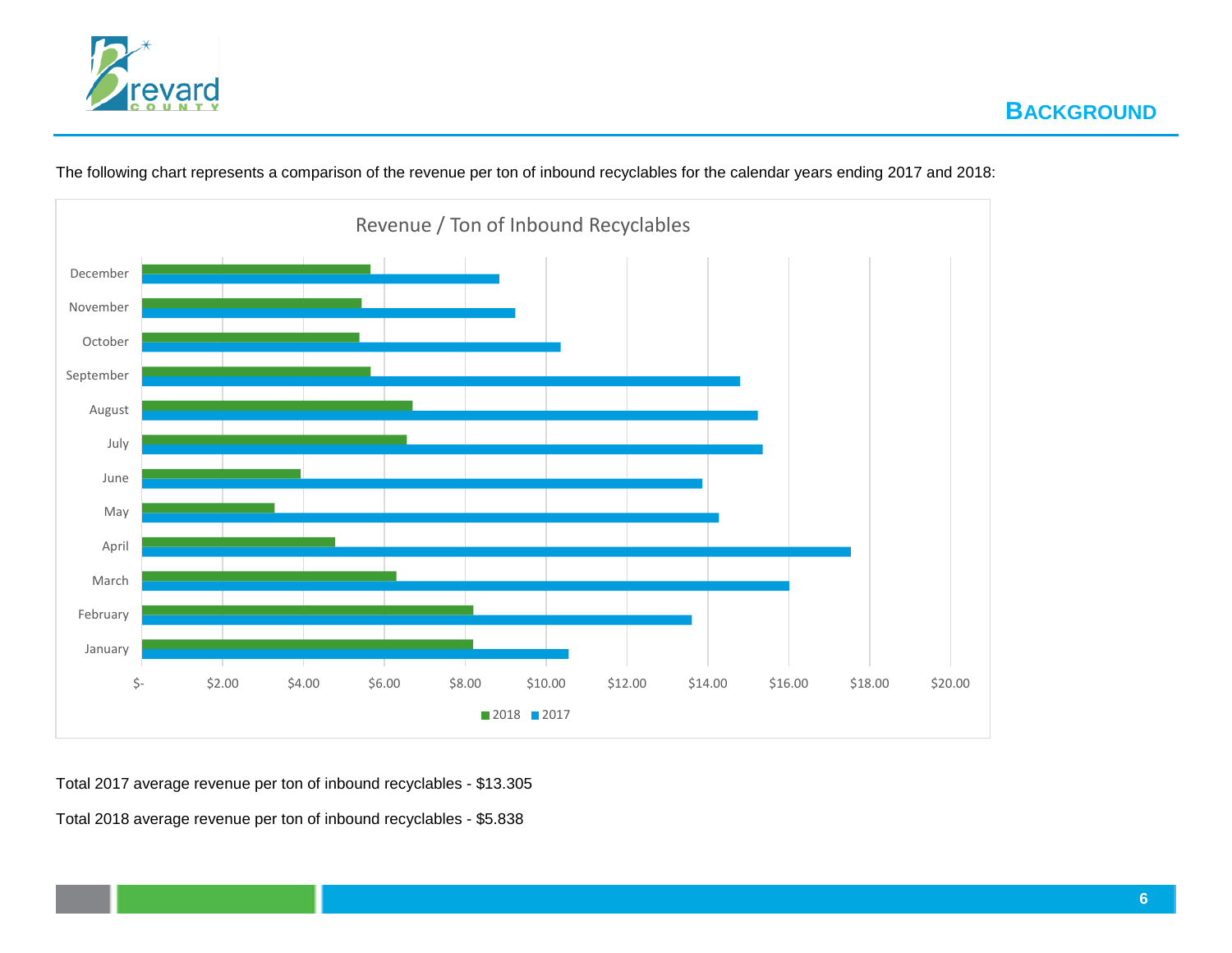



The following chart represents a comparison of the revenue per ton of inbound recyclables for the calendar years ending 2017 and 2018:

Total 2017 average revenue per ton of inbound recyclables - \$13.305

Total 2018 average revenue per ton of inbound recyclables - \$5.838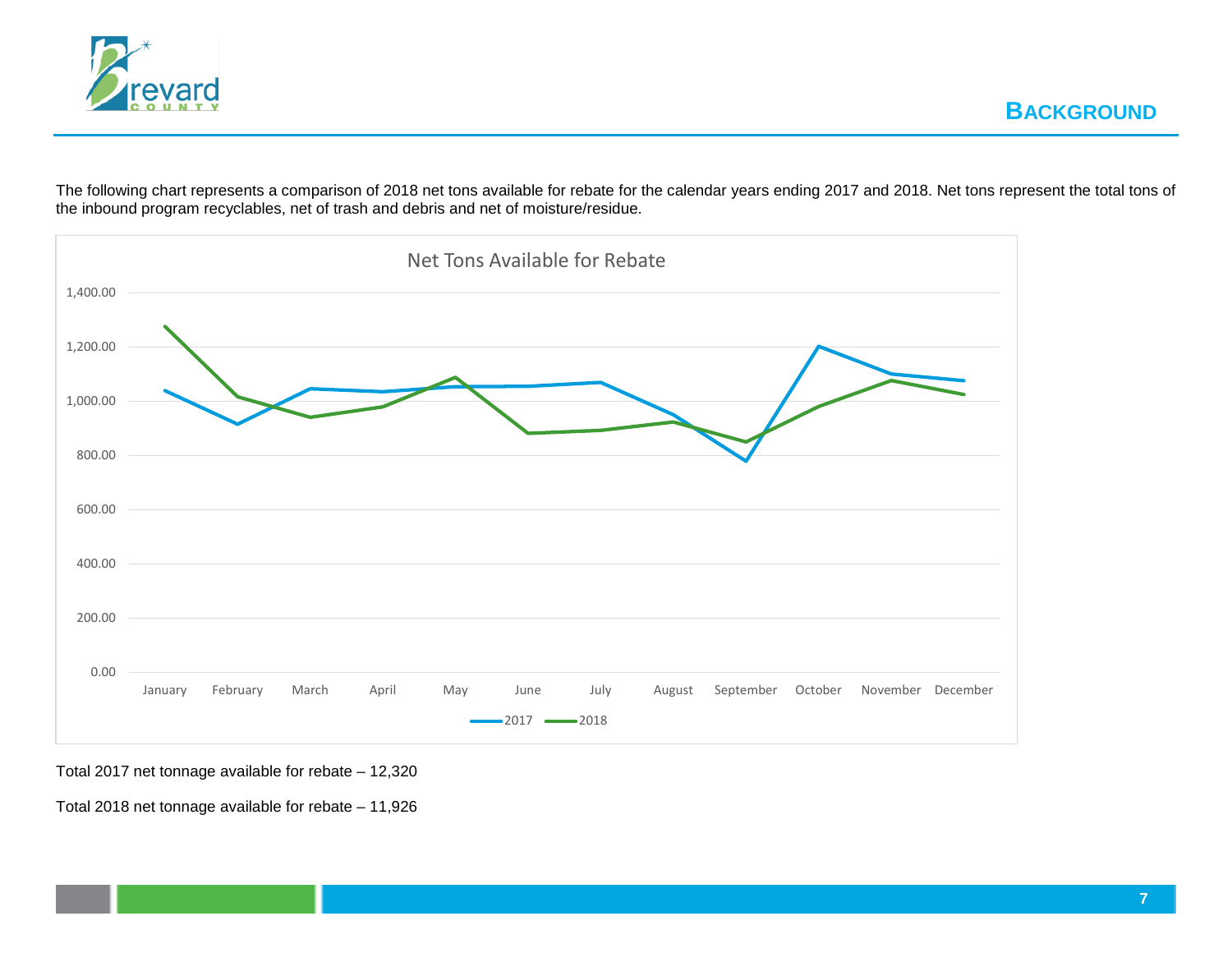

The following chart represents a comparison of 2018 net tons available for rebate for the calendar years ending 2017 and 2018. Net tons represent the total tons of the inbound program recyclables, net of trash and debris and net of moisture/residue.



Total 2017 net tonnage available for rebate – 12,320

Total 2018 net tonnage available for rebate – 11,926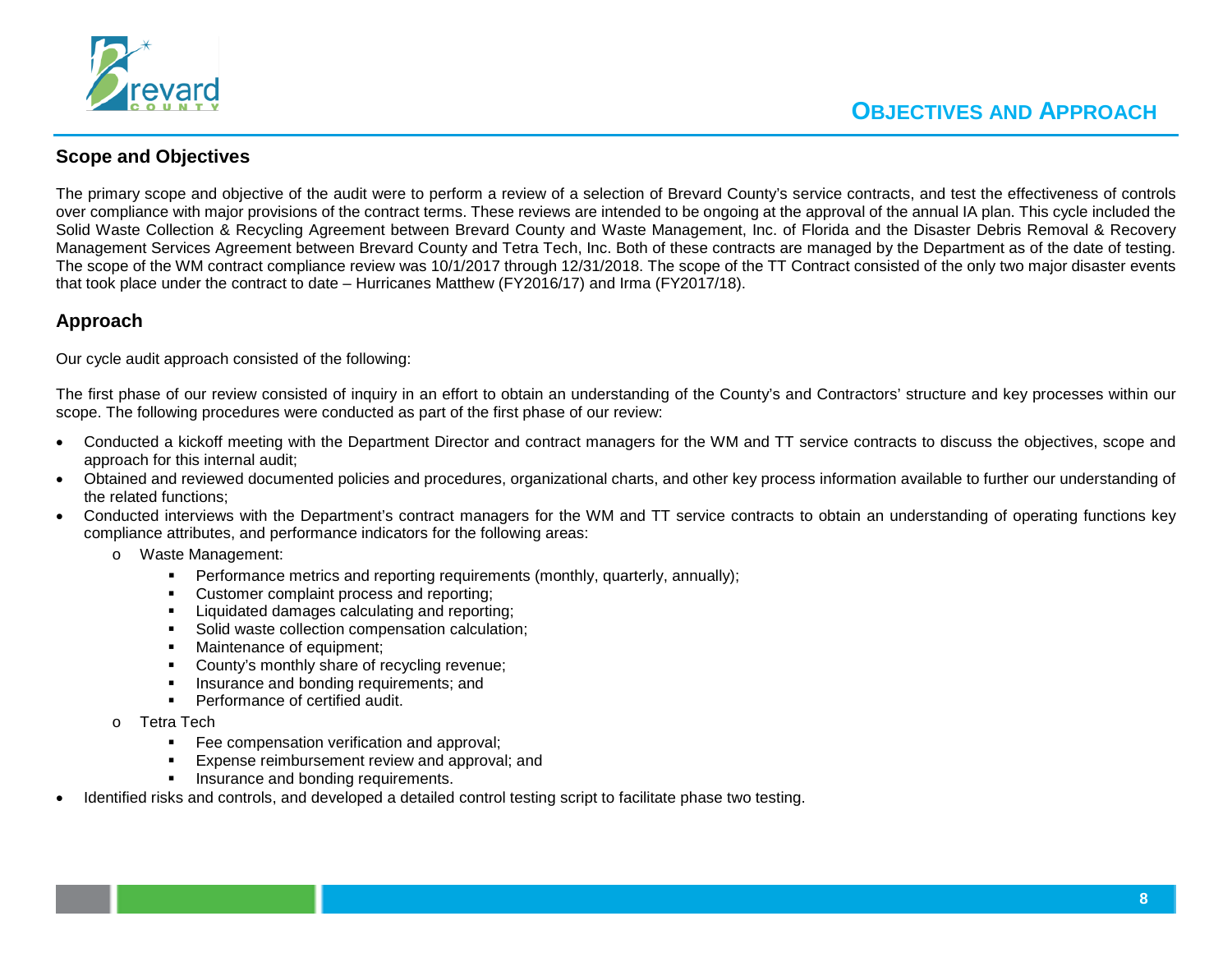

#### **Scope and Objectives**

The primary scope and objective of the audit were to perform a review of a selection of Brevard County's service contracts, and test the effectiveness of controls over compliance with major provisions of the contract terms. These reviews are intended to be ongoing at the approval of the annual IA plan. This cycle included the Solid Waste Collection & Recycling Agreement between Brevard County and Waste Management, Inc. of Florida and the Disaster Debris Removal & Recovery Management Services Agreement between Brevard County and Tetra Tech, Inc. Both of these contracts are managed by the Department as of the date of testing. The scope of the WM contract compliance review was 10/1/2017 through 12/31/2018. The scope of the TT Contract consisted of the only two major disaster events that took place under the contract to date – Hurricanes Matthew (FY2016/17) and Irma (FY2017/18).

#### **Approach**

Our cycle audit approach consisted of the following:

The first phase of our review consisted of inquiry in an effort to obtain an understanding of the County's and Contractors' structure and key processes within our scope. The following procedures were conducted as part of the first phase of our review:

- Conducted a kickoff meeting with the Department Director and contract managers for the WM and TT service contracts to discuss the objectives, scope and approach for this internal audit;
- Obtained and reviewed documented policies and procedures, organizational charts, and other key process information available to further our understanding of the related functions;
- Conducted interviews with the Department's contract managers for the WM and TT service contracts to obtain an understanding of operating functions key compliance attributes, and performance indicators for the following areas:
	- o Waste Management:
		- **Performance metrics and reporting requirements (monthly, quarterly, annually);**
		- Customer complaint process and reporting;
		- **EXECUTE:** Liquidated damages calculating and reporting;
		- Solid waste collection compensation calculation;
		- Maintenance of equipment;
		- **County's monthly share of recycling revenue;**
		- Insurance and bonding requirements; and
		- **Performance of certified audit.**
	- Tetra Tech
		- **Fee compensation verification and approval;**
		- **Expense reimbursement review and approval; and**
		- **Insurance and bonding requirements.**
- Identified risks and controls, and developed a detailed control testing script to facilitate phase two testing.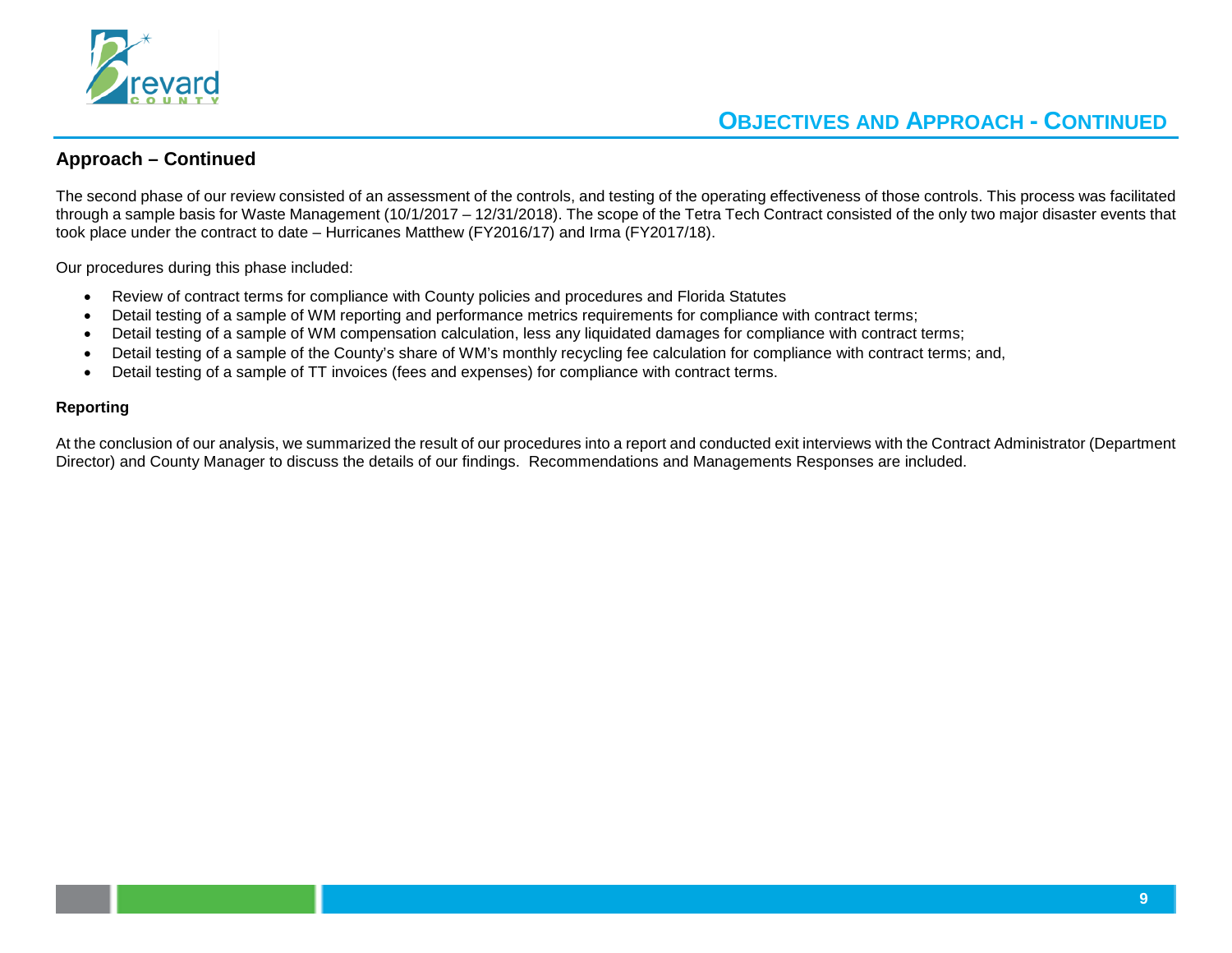

## **OBJECTIVES AND APPROACH - CONTINUED**

#### **Approach – Continued**

The second phase of our review consisted of an assessment of the controls, and testing of the operating effectiveness of those controls. This process was facilitated through a sample basis for Waste Management (10/1/2017 – 12/31/2018). The scope of the Tetra Tech Contract consisted of the only two major disaster events that took place under the contract to date – Hurricanes Matthew (FY2016/17) and Irma (FY2017/18).

Our procedures during this phase included:

- Review of contract terms for compliance with County policies and procedures and Florida Statutes
- Detail testing of a sample of WM reporting and performance metrics requirements for compliance with contract terms;
- Detail testing of a sample of WM compensation calculation, less any liquidated damages for compliance with contract terms;
- Detail testing of a sample of the County's share of WM's monthly recycling fee calculation for compliance with contract terms; and,
- Detail testing of a sample of TT invoices (fees and expenses) for compliance with contract terms.

#### **Reporting**

At the conclusion of our analysis, we summarized the result of our procedures into a report and conducted exit interviews with the Contract Administrator (Department Director) and County Manager to discuss the details of our findings. Recommendations and Managements Responses are included.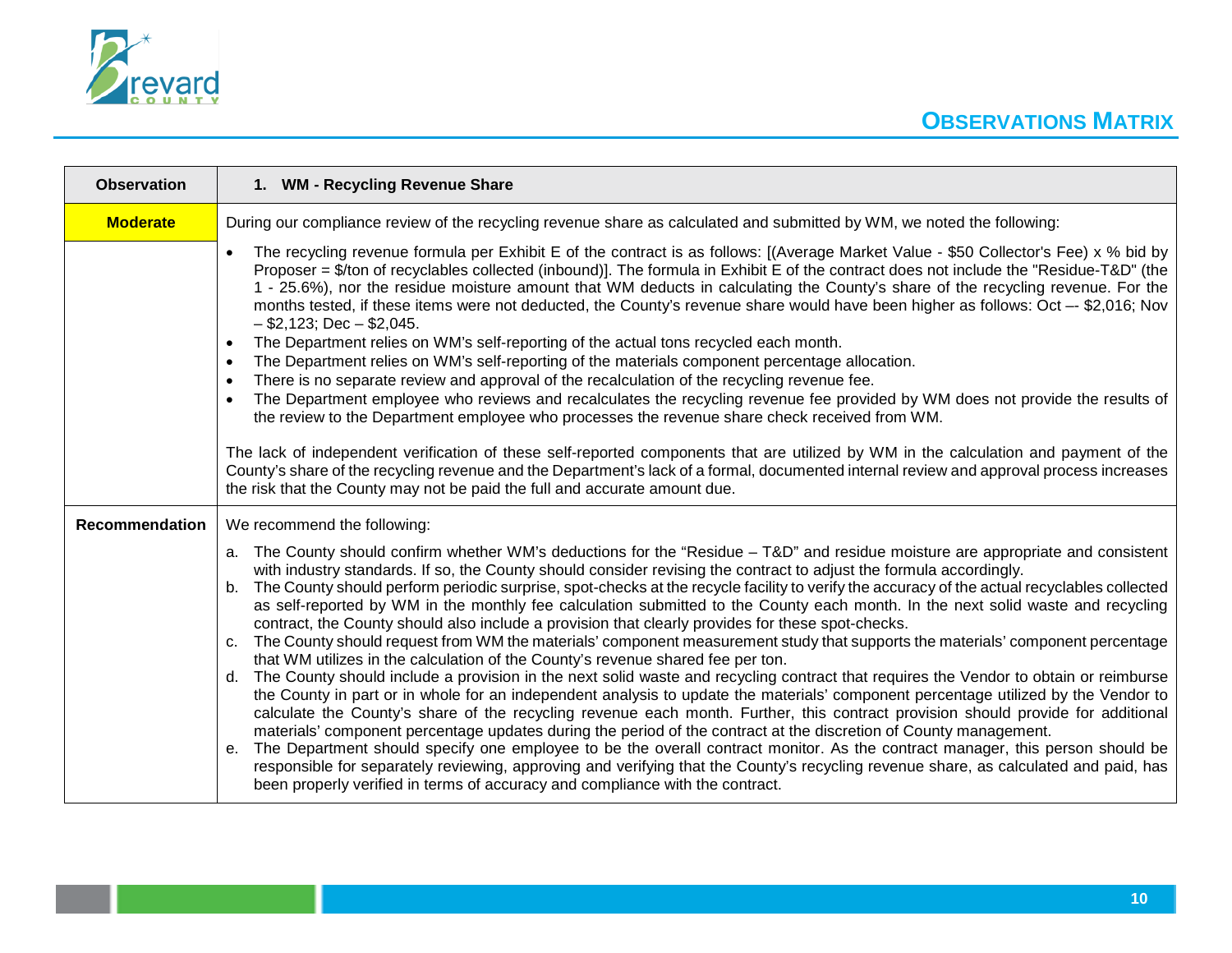

| <b>Observation</b>    | 1. WM - Recycling Revenue Share                                                                                                                                                                                                                                                                                                                                                                                                                                                                                                                                                                                                                                                                                                                                                                                                                                                                                                                                                                                                                                                                                                                                                                                                                                                                                                                                                                                                                                                                                                                                                                                                                                                                                                                                                                                   |
|-----------------------|-------------------------------------------------------------------------------------------------------------------------------------------------------------------------------------------------------------------------------------------------------------------------------------------------------------------------------------------------------------------------------------------------------------------------------------------------------------------------------------------------------------------------------------------------------------------------------------------------------------------------------------------------------------------------------------------------------------------------------------------------------------------------------------------------------------------------------------------------------------------------------------------------------------------------------------------------------------------------------------------------------------------------------------------------------------------------------------------------------------------------------------------------------------------------------------------------------------------------------------------------------------------------------------------------------------------------------------------------------------------------------------------------------------------------------------------------------------------------------------------------------------------------------------------------------------------------------------------------------------------------------------------------------------------------------------------------------------------------------------------------------------------------------------------------------------------|
| <b>Moderate</b>       | During our compliance review of the recycling revenue share as calculated and submitted by WM, we noted the following:                                                                                                                                                                                                                                                                                                                                                                                                                                                                                                                                                                                                                                                                                                                                                                                                                                                                                                                                                                                                                                                                                                                                                                                                                                                                                                                                                                                                                                                                                                                                                                                                                                                                                            |
|                       | The recycling revenue formula per Exhibit E of the contract is as follows: [(Average Market Value - \$50 Collector's Fee) x % bid by<br>Proposer = \$/ton of recyclables collected (inbound)]. The formula in Exhibit E of the contract does not include the "Residue-T&D" (the<br>1 - 25.6%), nor the residue moisture amount that WM deducts in calculating the County's share of the recycling revenue. For the<br>months tested, if these items were not deducted, the County's revenue share would have been higher as follows: Oct -- \$2,016; Nov<br>$-$ \$2,123; Dec $-$ \$2,045.<br>The Department relies on WM's self-reporting of the actual tons recycled each month.<br>$\bullet$<br>The Department relies on WM's self-reporting of the materials component percentage allocation.<br>$\bullet$<br>There is no separate review and approval of the recalculation of the recycling revenue fee.<br>$\bullet$<br>The Department employee who reviews and recalculates the recycling revenue fee provided by WM does not provide the results of<br>the review to the Department employee who processes the revenue share check received from WM.<br>The lack of independent verification of these self-reported components that are utilized by WM in the calculation and payment of the<br>County's share of the recycling revenue and the Department's lack of a formal, documented internal review and approval process increases<br>the risk that the County may not be paid the full and accurate amount due.                                                                                                                                                                                                                                                                                     |
| <b>Recommendation</b> | We recommend the following:                                                                                                                                                                                                                                                                                                                                                                                                                                                                                                                                                                                                                                                                                                                                                                                                                                                                                                                                                                                                                                                                                                                                                                                                                                                                                                                                                                                                                                                                                                                                                                                                                                                                                                                                                                                       |
|                       | a. The County should confirm whether WM's deductions for the "Residue - T&D" and residue moisture are appropriate and consistent<br>with industry standards. If so, the County should consider revising the contract to adjust the formula accordingly.<br>The County should perform periodic surprise, spot-checks at the recycle facility to verify the accuracy of the actual recyclables collected<br>b.<br>as self-reported by WM in the monthly fee calculation submitted to the County each month. In the next solid waste and recycling<br>contract, the County should also include a provision that clearly provides for these spot-checks.<br>The County should request from WM the materials' component measurement study that supports the materials' component percentage<br>C <sub>1</sub><br>that WM utilizes in the calculation of the County's revenue shared fee per ton.<br>The County should include a provision in the next solid waste and recycling contract that requires the Vendor to obtain or reimburse<br>$d_{\cdot}$<br>the County in part or in whole for an independent analysis to update the materials' component percentage utilized by the Vendor to<br>calculate the County's share of the recycling revenue each month. Further, this contract provision should provide for additional<br>materials' component percentage updates during the period of the contract at the discretion of County management.<br>The Department should specify one employee to be the overall contract monitor. As the contract manager, this person should be<br>e.<br>responsible for separately reviewing, approving and verifying that the County's recycling revenue share, as calculated and paid, has<br>been properly verified in terms of accuracy and compliance with the contract. |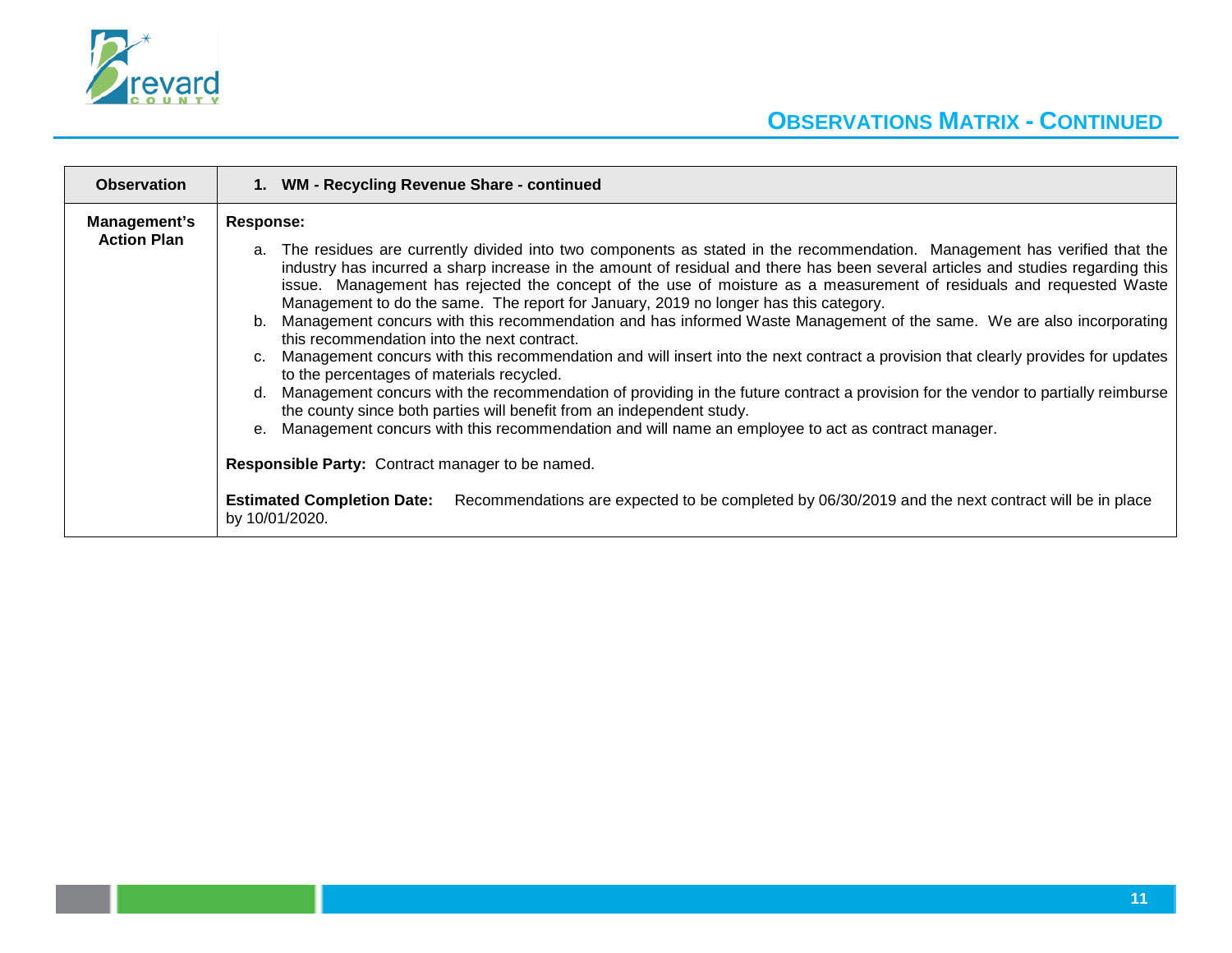

| <b>Observation</b> | 1. WM - Recycling Revenue Share - continued                                                                                                                                                                                                                                                                                                                                                                                                                                                                                                                                                                                                                                                                                                                                                                                                                                                                                                                                                                                                                                                                                                                                                                                                                                                                                                                                                                                  |
|--------------------|------------------------------------------------------------------------------------------------------------------------------------------------------------------------------------------------------------------------------------------------------------------------------------------------------------------------------------------------------------------------------------------------------------------------------------------------------------------------------------------------------------------------------------------------------------------------------------------------------------------------------------------------------------------------------------------------------------------------------------------------------------------------------------------------------------------------------------------------------------------------------------------------------------------------------------------------------------------------------------------------------------------------------------------------------------------------------------------------------------------------------------------------------------------------------------------------------------------------------------------------------------------------------------------------------------------------------------------------------------------------------------------------------------------------------|
| Management's       | Response:                                                                                                                                                                                                                                                                                                                                                                                                                                                                                                                                                                                                                                                                                                                                                                                                                                                                                                                                                                                                                                                                                                                                                                                                                                                                                                                                                                                                                    |
| <b>Action Plan</b> | a. The residues are currently divided into two components as stated in the recommendation. Management has verified that the<br>industry has incurred a sharp increase in the amount of residual and there has been several articles and studies regarding this<br>issue. Management has rejected the concept of the use of moisture as a measurement of residuals and requested Waste<br>Management to do the same. The report for January, 2019 no longer has this category.<br>Management concurs with this recommendation and has informed Waste Management of the same. We are also incorporating<br>$b_{-}$<br>this recommendation into the next contract.<br>Management concurs with this recommendation and will insert into the next contract a provision that clearly provides for updates<br>C <sub>1</sub><br>to the percentages of materials recycled.<br>Management concurs with the recommendation of providing in the future contract a provision for the vendor to partially reimburse<br>d.<br>the county since both parties will benefit from an independent study.<br>Management concurs with this recommendation and will name an employee to act as contract manager.<br>$e_{1}$<br><b>Responsible Party: Contract manager to be named.</b><br>Recommendations are expected to be completed by 06/30/2019 and the next contract will be in place<br><b>Estimated Completion Date:</b><br>by 10/01/2020. |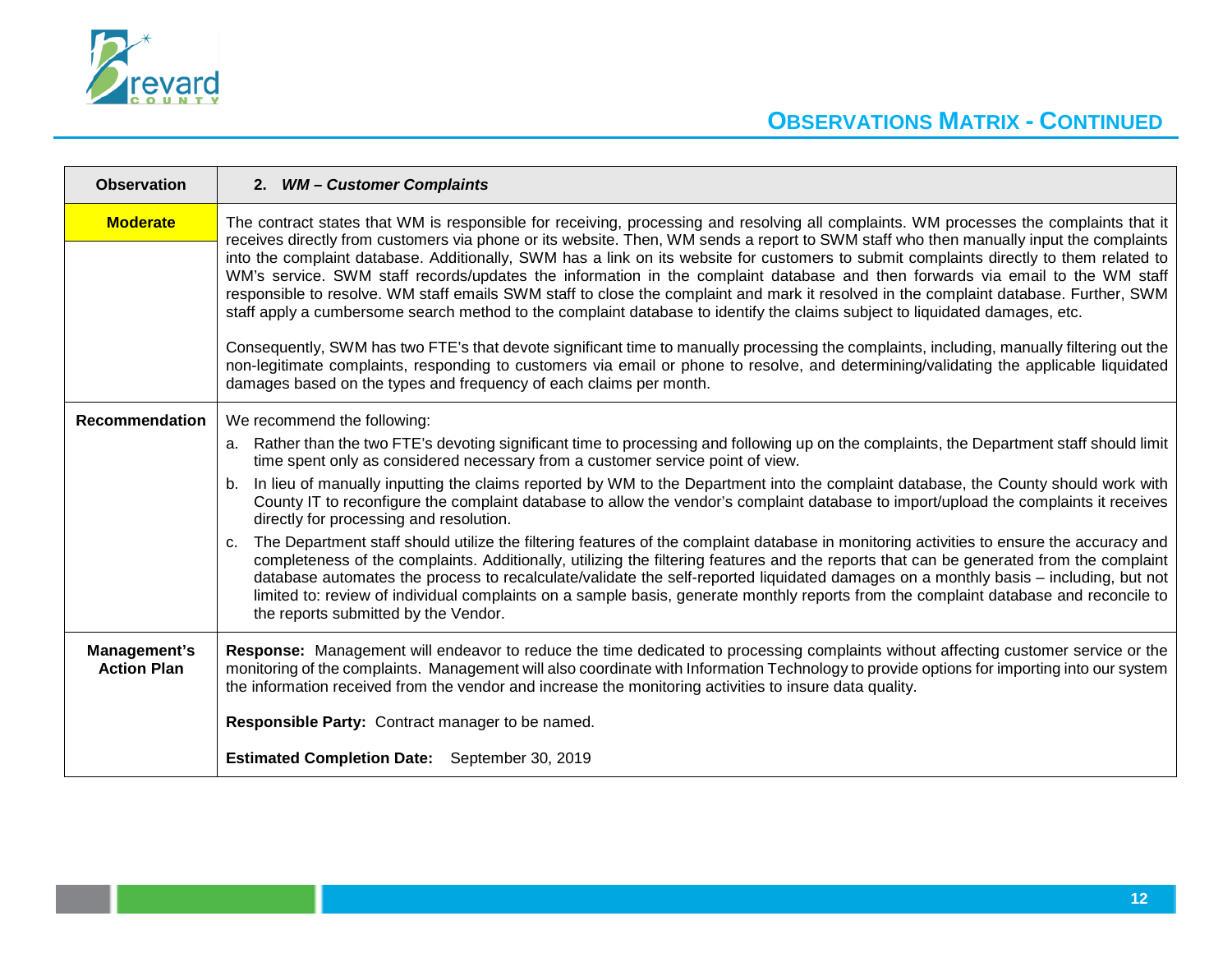

| <b>Observation</b>                 | 2. WM - Customer Complaints                                                                                                                                                                                                                                                                                                                                                                                                                                                                                                                                                                                                                                                                                                                                                                                                                                                                                                                                                                                                                                                                                                                                                                                         |
|------------------------------------|---------------------------------------------------------------------------------------------------------------------------------------------------------------------------------------------------------------------------------------------------------------------------------------------------------------------------------------------------------------------------------------------------------------------------------------------------------------------------------------------------------------------------------------------------------------------------------------------------------------------------------------------------------------------------------------------------------------------------------------------------------------------------------------------------------------------------------------------------------------------------------------------------------------------------------------------------------------------------------------------------------------------------------------------------------------------------------------------------------------------------------------------------------------------------------------------------------------------|
| <b>Moderate</b>                    | The contract states that WM is responsible for receiving, processing and resolving all complaints. WM processes the complaints that it<br>receives directly from customers via phone or its website. Then, WM sends a report to SWM staff who then manually input the complaints<br>into the complaint database. Additionally, SWM has a link on its website for customers to submit complaints directly to them related to<br>WM's service. SWM staff records/updates the information in the complaint database and then forwards via email to the WM staff<br>responsible to resolve. WM staff emails SWM staff to close the complaint and mark it resolved in the complaint database. Further, SWM<br>staff apply a cumbersome search method to the complaint database to identify the claims subject to liquidated damages, etc.<br>Consequently, SWM has two FTE's that devote significant time to manually processing the complaints, including, manually filtering out the<br>non-legitimate complaints, responding to customers via email or phone to resolve, and determining/validating the applicable liquidated<br>damages based on the types and frequency of each claims per month.                   |
| <b>Recommendation</b>              | We recommend the following:<br>a. Rather than the two FTE's devoting significant time to processing and following up on the complaints, the Department staff should limit<br>time spent only as considered necessary from a customer service point of view.<br>In lieu of manually inputting the claims reported by WM to the Department into the complaint database, the County should work with<br>$b_{-}$<br>County IT to reconfigure the complaint database to allow the vendor's complaint database to import/upload the complaints it receives<br>directly for processing and resolution.<br>The Department staff should utilize the filtering features of the complaint database in monitoring activities to ensure the accuracy and<br>C.<br>completeness of the complaints. Additionally, utilizing the filtering features and the reports that can be generated from the complaint<br>database automates the process to recalculate/validate the self-reported liquidated damages on a monthly basis - including, but not<br>limited to: review of individual complaints on a sample basis, generate monthly reports from the complaint database and reconcile to<br>the reports submitted by the Vendor. |
| Management's<br><b>Action Plan</b> | Response: Management will endeavor to reduce the time dedicated to processing complaints without affecting customer service or the<br>monitoring of the complaints. Management will also coordinate with Information Technology to provide options for importing into our system<br>the information received from the vendor and increase the monitoring activities to insure data quality.<br>Responsible Party: Contract manager to be named.<br>Estimated Completion Date: September 30, 2019                                                                                                                                                                                                                                                                                                                                                                                                                                                                                                                                                                                                                                                                                                                    |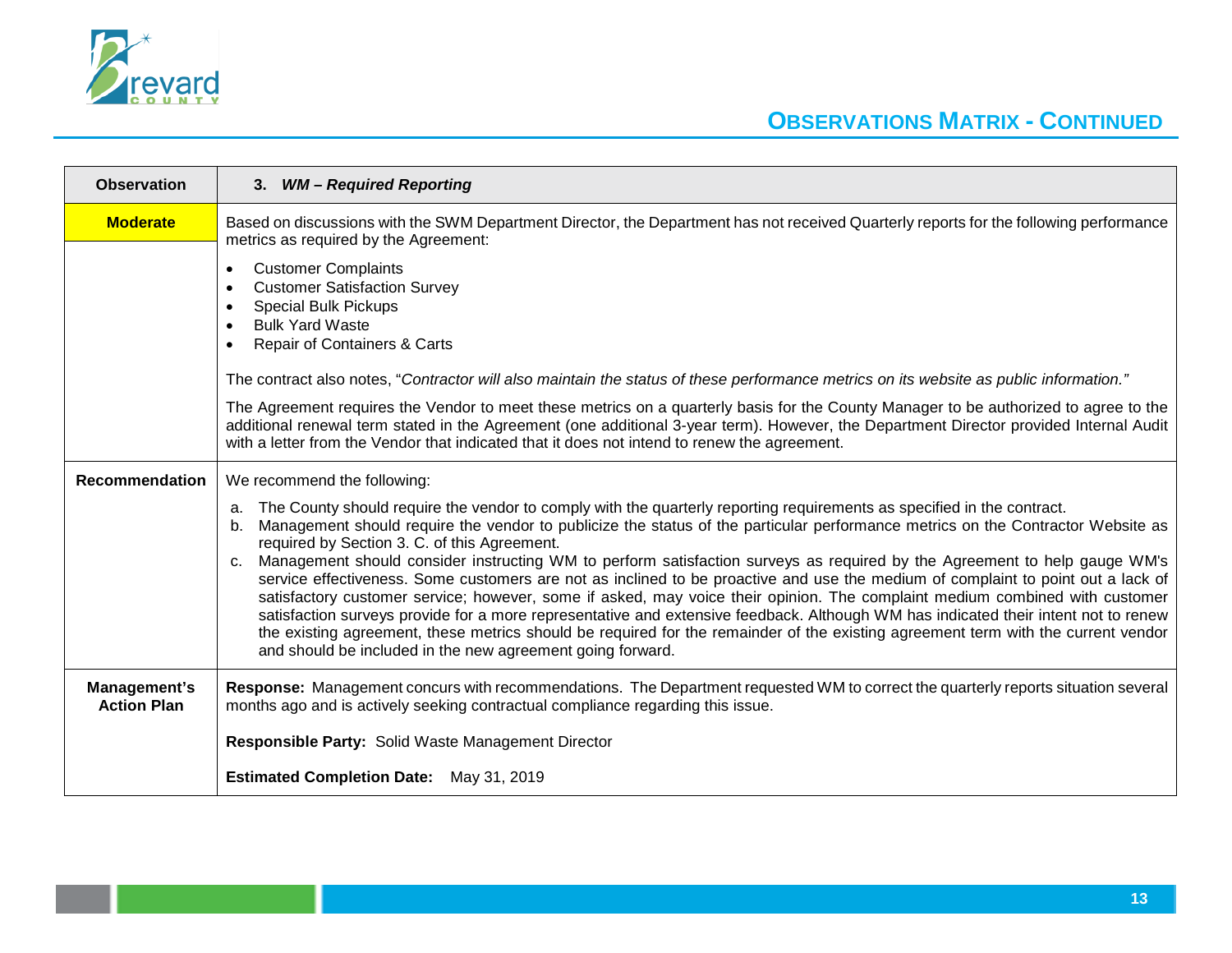

| <b>Observation</b>                 | 3. WM - Required Reporting                                                                                                                                                                                                                                                                                                                                                                                                                                                                                                                                                                                                                                                                                                                                                                                                                                                                                                                                                                                                                                                       |
|------------------------------------|----------------------------------------------------------------------------------------------------------------------------------------------------------------------------------------------------------------------------------------------------------------------------------------------------------------------------------------------------------------------------------------------------------------------------------------------------------------------------------------------------------------------------------------------------------------------------------------------------------------------------------------------------------------------------------------------------------------------------------------------------------------------------------------------------------------------------------------------------------------------------------------------------------------------------------------------------------------------------------------------------------------------------------------------------------------------------------|
| <b>Moderate</b>                    | Based on discussions with the SWM Department Director, the Department has not received Quarterly reports for the following performance<br>metrics as required by the Agreement:                                                                                                                                                                                                                                                                                                                                                                                                                                                                                                                                                                                                                                                                                                                                                                                                                                                                                                  |
|                                    | <b>Customer Complaints</b><br><b>Customer Satisfaction Survey</b><br><b>Special Bulk Pickups</b><br><b>Bulk Yard Waste</b><br><b>Repair of Containers &amp; Carts</b>                                                                                                                                                                                                                                                                                                                                                                                                                                                                                                                                                                                                                                                                                                                                                                                                                                                                                                            |
|                                    | The contract also notes, "Contractor will also maintain the status of these performance metrics on its website as public information."                                                                                                                                                                                                                                                                                                                                                                                                                                                                                                                                                                                                                                                                                                                                                                                                                                                                                                                                           |
|                                    | The Agreement requires the Vendor to meet these metrics on a quarterly basis for the County Manager to be authorized to agree to the<br>additional renewal term stated in the Agreement (one additional 3-year term). However, the Department Director provided Internal Audit<br>with a letter from the Vendor that indicated that it does not intend to renew the agreement.                                                                                                                                                                                                                                                                                                                                                                                                                                                                                                                                                                                                                                                                                                   |
| <b>Recommendation</b>              | We recommend the following:                                                                                                                                                                                                                                                                                                                                                                                                                                                                                                                                                                                                                                                                                                                                                                                                                                                                                                                                                                                                                                                      |
|                                    | The County should require the vendor to comply with the quarterly reporting requirements as specified in the contract.<br>a.<br>Management should require the vendor to publicize the status of the particular performance metrics on the Contractor Website as<br>b.<br>required by Section 3. C. of this Agreement.<br>Management should consider instructing WM to perform satisfaction surveys as required by the Agreement to help gauge WM's<br>C <sub>1</sub><br>service effectiveness. Some customers are not as inclined to be proactive and use the medium of complaint to point out a lack of<br>satisfactory customer service; however, some if asked, may voice their opinion. The complaint medium combined with customer<br>satisfaction surveys provide for a more representative and extensive feedback. Although WM has indicated their intent not to renew<br>the existing agreement, these metrics should be required for the remainder of the existing agreement term with the current vendor<br>and should be included in the new agreement going forward. |
| Management's<br><b>Action Plan</b> | Response: Management concurs with recommendations. The Department requested WM to correct the quarterly reports situation several<br>months ago and is actively seeking contractual compliance regarding this issue.                                                                                                                                                                                                                                                                                                                                                                                                                                                                                                                                                                                                                                                                                                                                                                                                                                                             |
|                                    | <b>Responsible Party: Solid Waste Management Director</b>                                                                                                                                                                                                                                                                                                                                                                                                                                                                                                                                                                                                                                                                                                                                                                                                                                                                                                                                                                                                                        |
|                                    | <b>Estimated Completion Date:</b> May 31, 2019                                                                                                                                                                                                                                                                                                                                                                                                                                                                                                                                                                                                                                                                                                                                                                                                                                                                                                                                                                                                                                   |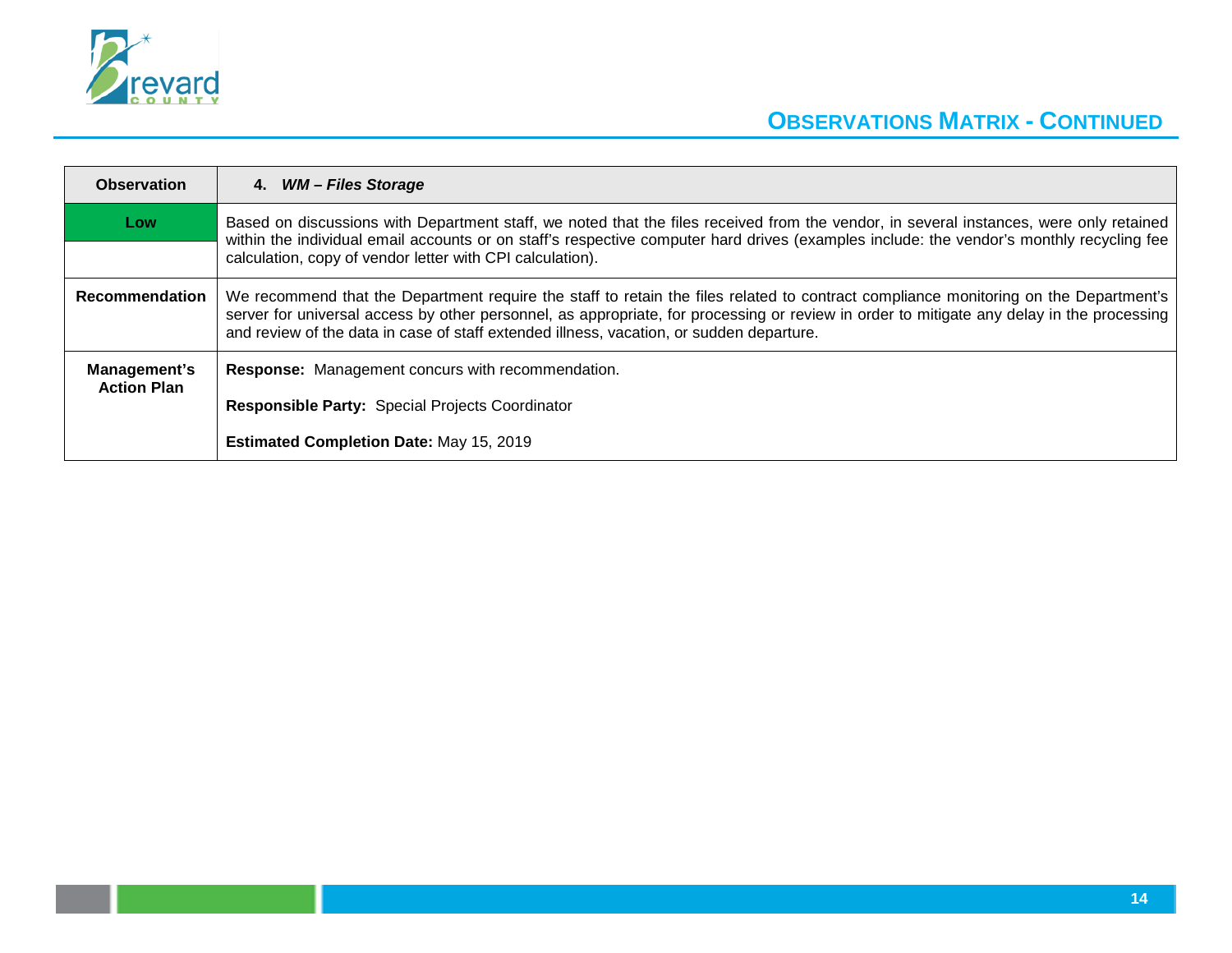

| Based on discussions with Department staff, we noted that the files received from the vendor, in several instances, were only retained<br>within the individual email accounts or on staff's respective computer hard drives (examples include: the vendor's monthly recycling fee                                                                                            |
|-------------------------------------------------------------------------------------------------------------------------------------------------------------------------------------------------------------------------------------------------------------------------------------------------------------------------------------------------------------------------------|
| calculation, copy of vendor letter with CPI calculation).                                                                                                                                                                                                                                                                                                                     |
| We recommend that the Department require the staff to retain the files related to contract compliance monitoring on the Department's<br>server for universal access by other personnel, as appropriate, for processing or review in order to mitigate any delay in the processing<br>and review of the data in case of staff extended illness, vacation, or sudden departure. |
| <b>Response:</b> Management concurs with recommendation.<br>Responsible Party: Special Projects Coordinator<br><b>Estimated Completion Date: May 15, 2019</b>                                                                                                                                                                                                                 |
|                                                                                                                                                                                                                                                                                                                                                                               |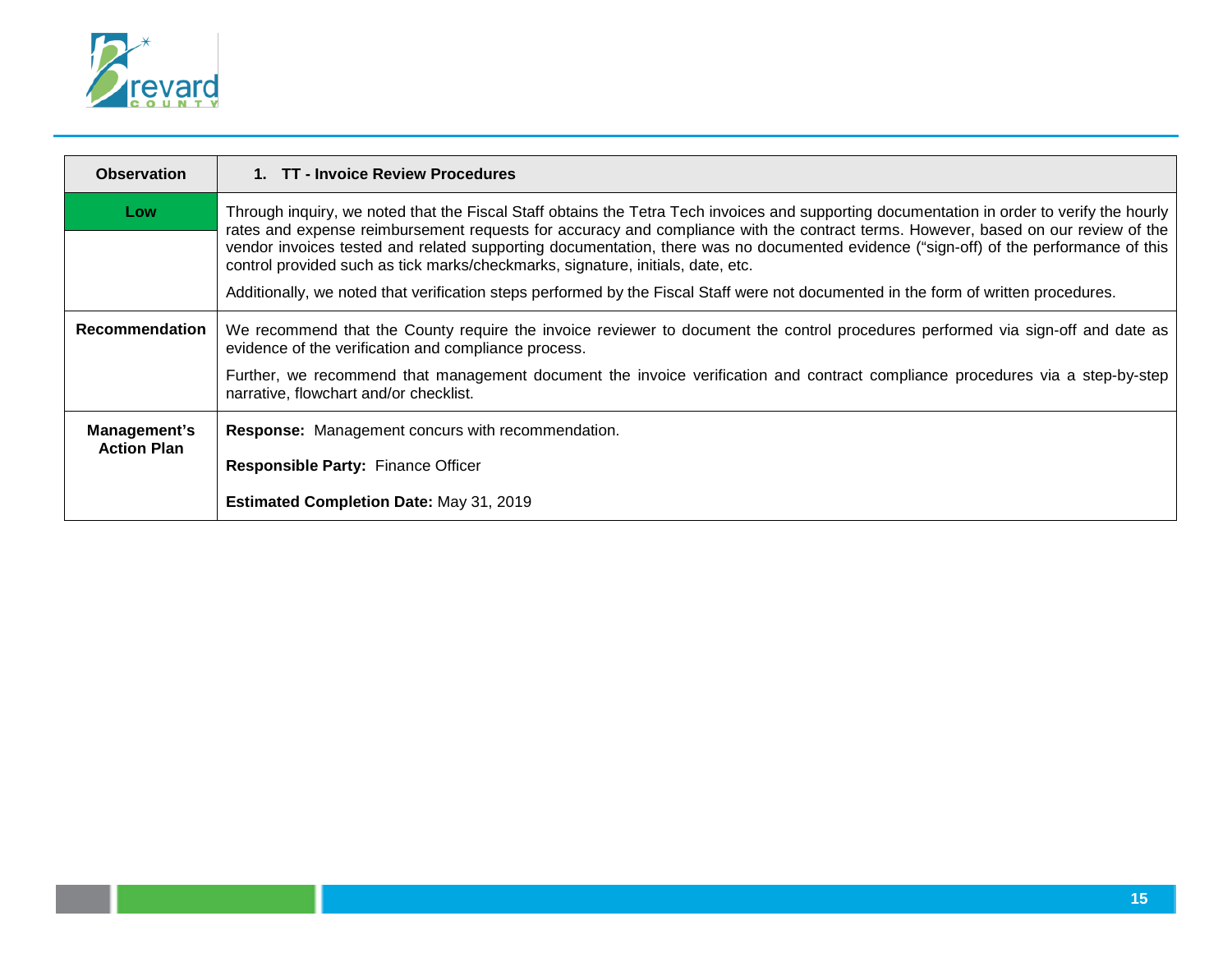

| <b>Observation</b>    | 1. TT - Invoice Review Procedures                                                                                                                                                                                                                                                                                                                                                                                                                                                                          |
|-----------------------|------------------------------------------------------------------------------------------------------------------------------------------------------------------------------------------------------------------------------------------------------------------------------------------------------------------------------------------------------------------------------------------------------------------------------------------------------------------------------------------------------------|
| Low                   | Through inquiry, we noted that the Fiscal Staff obtains the Tetra Tech invoices and supporting documentation in order to verify the hourly<br>rates and expense reimbursement requests for accuracy and compliance with the contract terms. However, based on our review of the<br>vendor invoices tested and related supporting documentation, there was no documented evidence ("sign-off) of the performance of this<br>control provided such as tick marks/checkmarks, signature, initials, date, etc. |
|                       | Additionally, we noted that verification steps performed by the Fiscal Staff were not documented in the form of written procedures.                                                                                                                                                                                                                                                                                                                                                                        |
| <b>Recommendation</b> | We recommend that the County require the invoice reviewer to document the control procedures performed via sign-off and date as<br>evidence of the verification and compliance process.                                                                                                                                                                                                                                                                                                                    |
|                       | Further, we recommend that management document the invoice verification and contract compliance procedures via a step-by-step<br>narrative, flowchart and/or checklist.                                                                                                                                                                                                                                                                                                                                    |
| Management's          | <b>Response:</b> Management concurs with recommendation.                                                                                                                                                                                                                                                                                                                                                                                                                                                   |
| <b>Action Plan</b>    | <b>Responsible Party: Finance Officer</b>                                                                                                                                                                                                                                                                                                                                                                                                                                                                  |
|                       | <b>Estimated Completion Date: May 31, 2019</b>                                                                                                                                                                                                                                                                                                                                                                                                                                                             |